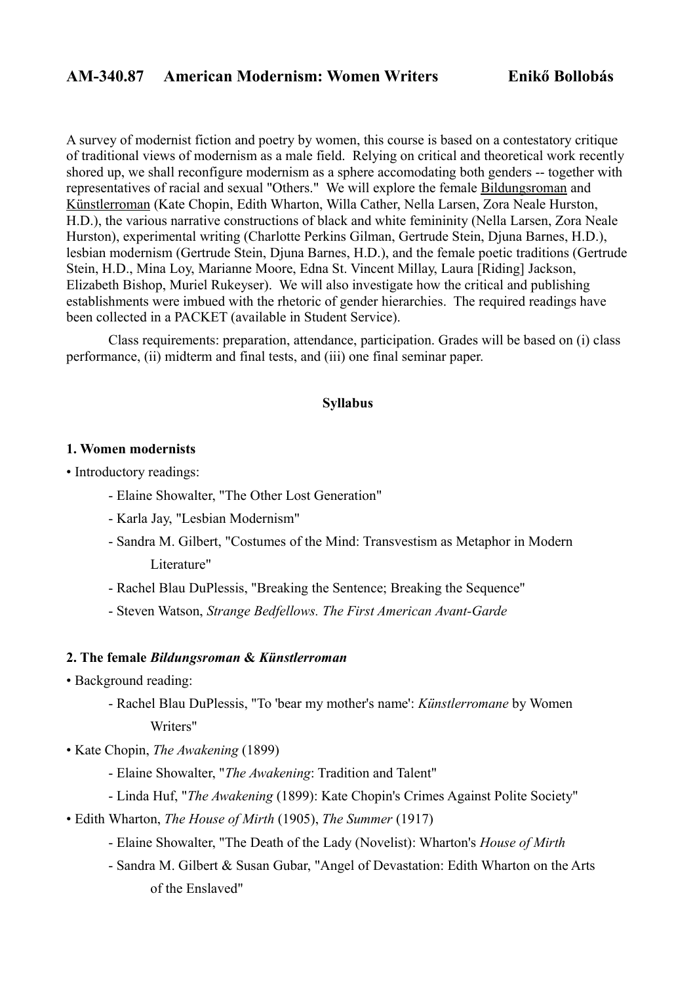# **AM-340.87 American Modernism: Women Writers Enikő Bollobás**

A survey of modernist fiction and poetry by women, this course is based on a contestatory critique of traditional views of modernism as a male field. Relying on critical and theoretical work recently shored up, we shall reconfigure modernism as a sphere accomodating both genders -- together with representatives of racial and sexual "Others." We will explore the female Bildungsroman and Künstlerroman (Kate Chopin, Edith Wharton, Willa Cather, Nella Larsen, Zora Neale Hurston, H.D.), the various narrative constructions of black and white femininity (Nella Larsen, Zora Neale Hurston), experimental writing (Charlotte Perkins Gilman, Gertrude Stein, Djuna Barnes, H.D.), lesbian modernism (Gertrude Stein, Djuna Barnes, H.D.), and the female poetic traditions (Gertrude Stein, H.D., Mina Loy, Marianne Moore, Edna St. Vincent Millay, Laura [Riding] Jackson, Elizabeth Bishop, Muriel Rukeyser). We will also investigate how the critical and publishing establishments were imbued with the rhetoric of gender hierarchies. The required readings have been collected in a PACKET (available in Student Service).

 Class requirements: preparation, attendance, participation. Grades will be based on (i) class performance, (ii) midterm and final tests, and (iii) one final seminar paper.

# **Syllabus**

#### **1. Women modernists**

• Introductory readings:

- Elaine Showalter, "The Other Lost Generation"
- Karla Jay, "Lesbian Modernism"
- Sandra M. Gilbert, "Costumes of the Mind: Transvestism as Metaphor in Modern Literature"
- Rachel Blau DuPlessis, "Breaking the Sentence; Breaking the Sequence"
- Steven Watson, *Strange Bedfellows. The First American Avant-Garde*

#### **2. The female** *Bildungsroman* **&** *Künstlerroman*

- Background reading:
	- Rachel Blau DuPlessis, "To 'bear my mother's name': *Künstlerromane* by Women Writers"
- Kate Chopin, *The Awakening* (1899)
	- Elaine Showalter, "*The Awakening*: Tradition and Talent"
	- Linda Huf, "*The Awakening* (1899): Kate Chopin's Crimes Against Polite Society"
- Edith Wharton, *The House of Mirth* (1905), *The Summer* (1917)
	- Elaine Showalter, "The Death of the Lady (Novelist): Wharton's *House of Mirth*
	- Sandra M. Gilbert & Susan Gubar, "Angel of Devastation: Edith Wharton on the Arts of the Enslaved"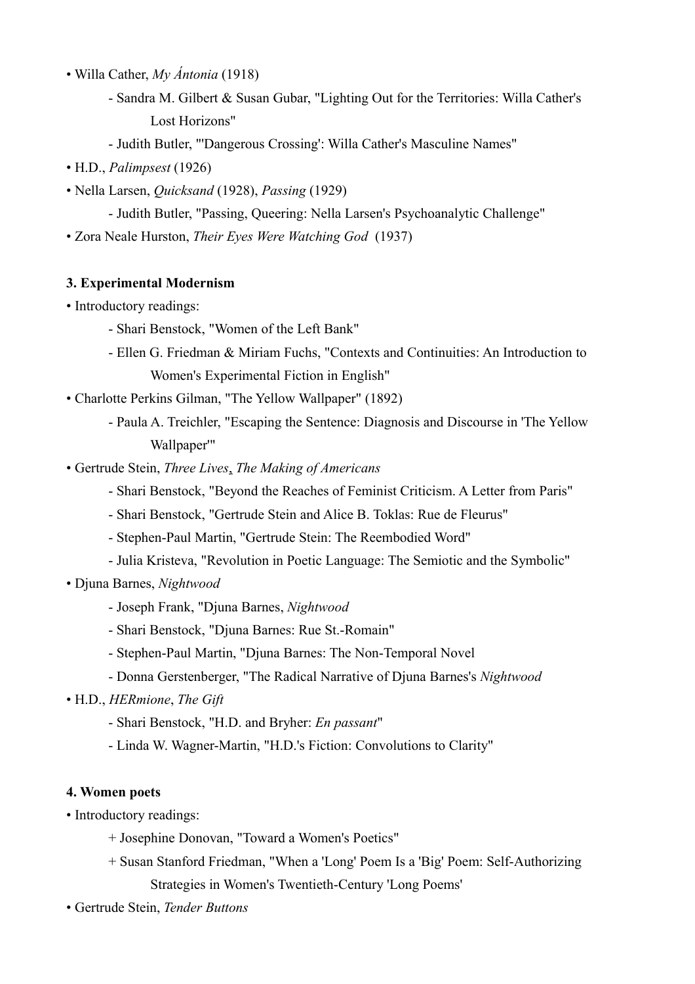- Willa Cather, *My Ántonia* (1918)
	- Sandra M. Gilbert & Susan Gubar, "Lighting Out for the Territories: Willa Cather's Lost Horizons"
	- Judith Butler, "'Dangerous Crossing': Willa Cather's Masculine Names"
- H.D., *Palimpsest* (1926)
- Nella Larsen, *Quicksand* (1928), *Passing* (1929)
	- Judith Butler, "Passing, Queering: Nella Larsen's Psychoanalytic Challenge"
- Zora Neale Hurston, *Their Eyes Were Watching God* (1937)

#### **3. Experimental Modernism**

- Introductory readings:
	- Shari Benstock, "Women of the Left Bank"
	- Ellen G. Friedman & Miriam Fuchs, "Contexts and Continuities: An Introduction to Women's Experimental Fiction in English"
- Charlotte Perkins Gilman, "The Yellow Wallpaper" (1892)
	- Paula A. Treichler, "Escaping the Sentence: Diagnosis and Discourse in 'The Yellow Wallpaper'"
- Gertrude Stein, *Three Lives*, *The Making of Americans*
	- Shari Benstock, "Beyond the Reaches of Feminist Criticism. A Letter from Paris"
	- Shari Benstock, "Gertrude Stein and Alice B. Toklas: Rue de Fleurus"
	- Stephen-Paul Martin, "Gertrude Stein: The Reembodied Word"
	- Julia Kristeva, "Revolution in Poetic Language: The Semiotic and the Symbolic"
- Djuna Barnes, *Nightwood*
	- Joseph Frank, "Djuna Barnes, *Nightwood*
	- Shari Benstock, "Djuna Barnes: Rue St.-Romain"
	- Stephen-Paul Martin, "Djuna Barnes: The Non-Temporal Novel
	- Donna Gerstenberger, "The Radical Narrative of Djuna Barnes's *Nightwood*

# • H.D., *HERmione*, *The Gift*

- Shari Benstock, "H.D. and Bryher: *En passant*"
- Linda W. Wagner-Martin, "H.D.'s Fiction: Convolutions to Clarity"

### **4. Women poets**

- Introductory readings:
	- + Josephine Donovan, "Toward a Women's Poetics"
	- + Susan Stanford Friedman, "When a 'Long' Poem Is a 'Big' Poem: Self-Authorizing Strategies in Women's Twentieth-Century 'Long Poems'
- Gertrude Stein, *Tender Buttons*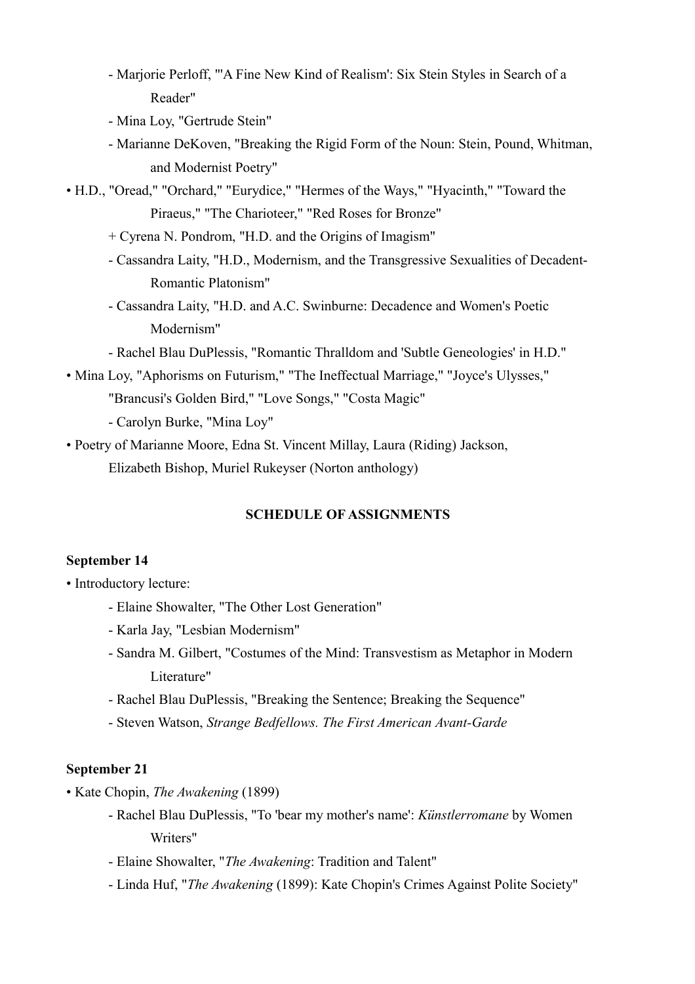- Marjorie Perloff, "'A Fine New Kind of Realism': Six Stein Styles in Search of a Reader"
- Mina Loy, "Gertrude Stein"
- Marianne DeKoven, "Breaking the Rigid Form of the Noun: Stein, Pound, Whitman, and Modernist Poetry"

• H.D., "Oread," "Orchard," "Eurydice," "Hermes of the Ways," "Hyacinth," "Toward the Piraeus," "The Charioteer," "Red Roses for Bronze"

- + Cyrena N. Pondrom, "H.D. and the Origins of Imagism"
- Cassandra Laity, "H.D., Modernism, and the Transgressive Sexualities of Decadent- Romantic Platonism"
- Cassandra Laity, "H.D. and A.C. Swinburne: Decadence and Women's Poetic Modernism"
- Rachel Blau DuPlessis, "Romantic Thralldom and 'Subtle Geneologies' in H.D."
- Mina Loy, "Aphorisms on Futurism," "The Ineffectual Marriage," "Joyce's Ulysses," "Brancusi's Golden Bird," "Love Songs," "Costa Magic"

- Carolyn Burke, "Mina Loy"

• Poetry of Marianne Moore, Edna St. Vincent Millay, Laura (Riding) Jackson, Elizabeth Bishop, Muriel Rukeyser (Norton anthology)

# **SCHEDULE OF ASSIGNMENTS**

### **September 14**

• Introductory lecture:

- Elaine Showalter, "The Other Lost Generation"
- Karla Jay, "Lesbian Modernism"
- Sandra M. Gilbert, "Costumes of the Mind: Transvestism as Metaphor in Modern Literature"
- Rachel Blau DuPlessis, "Breaking the Sentence; Breaking the Sequence"
- Steven Watson, *Strange Bedfellows. The First American Avant-Garde*

# **September 21**

• Kate Chopin, *The Awakening* (1899)

- Rachel Blau DuPlessis, "To 'bear my mother's name': *Künstlerromane* by Women Writers"
- Elaine Showalter, "*The Awakening*: Tradition and Talent"
- Linda Huf, "*The Awakening* (1899): Kate Chopin's Crimes Against Polite Society"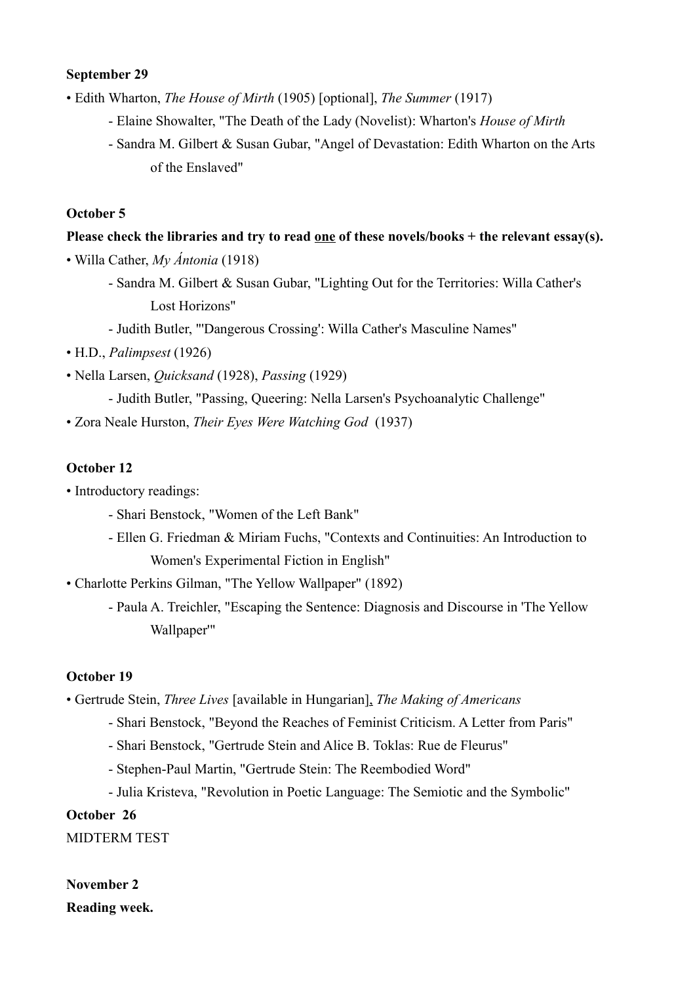### **September 29**

• Edith Wharton, *The House of Mirth* (1905) [optional], *The Summer* (1917)

- Elaine Showalter, "The Death of the Lady (Novelist): Wharton's *House of Mirth*
- Sandra M. Gilbert & Susan Gubar, "Angel of Devastation: Edith Wharton on the Arts of the Enslaved"

### **October 5**

# **Please check the libraries and try to read one of these novels/books + the relevant essay(s).**

• Willa Cather, *My Ántonia* (1918)

- Sandra M. Gilbert & Susan Gubar, "Lighting Out for the Territories: Willa Cather's Lost Horizons"
- Judith Butler, "'Dangerous Crossing': Willa Cather's Masculine Names"
- H.D., *Palimpsest* (1926)
- Nella Larsen, *Quicksand* (1928), *Passing* (1929)
	- Judith Butler, "Passing, Queering: Nella Larsen's Psychoanalytic Challenge"
- Zora Neale Hurston, *Their Eyes Were Watching God* (1937)

# **October 12**

- Introductory readings:
	- Shari Benstock, "Women of the Left Bank"
	- Ellen G. Friedman & Miriam Fuchs, "Contexts and Continuities: An Introduction to Women's Experimental Fiction in English"

• Charlotte Perkins Gilman, "The Yellow Wallpaper" (1892)

 - Paula A. Treichler, "Escaping the Sentence: Diagnosis and Discourse in 'The Yellow Wallpaper'"

### **October 19**

• Gertrude Stein, *Three Lives* [available in Hungarian], *The Making of Americans*

- Shari Benstock, "Beyond the Reaches of Feminist Criticism. A Letter from Paris"
- Shari Benstock, "Gertrude Stein and Alice B. Toklas: Rue de Fleurus"
- Stephen-Paul Martin, "Gertrude Stein: The Reembodied Word"
- Julia Kristeva, "Revolution in Poetic Language: The Semiotic and the Symbolic"

# **October 26**

MIDTERM TEST

# **November 2 Reading week.**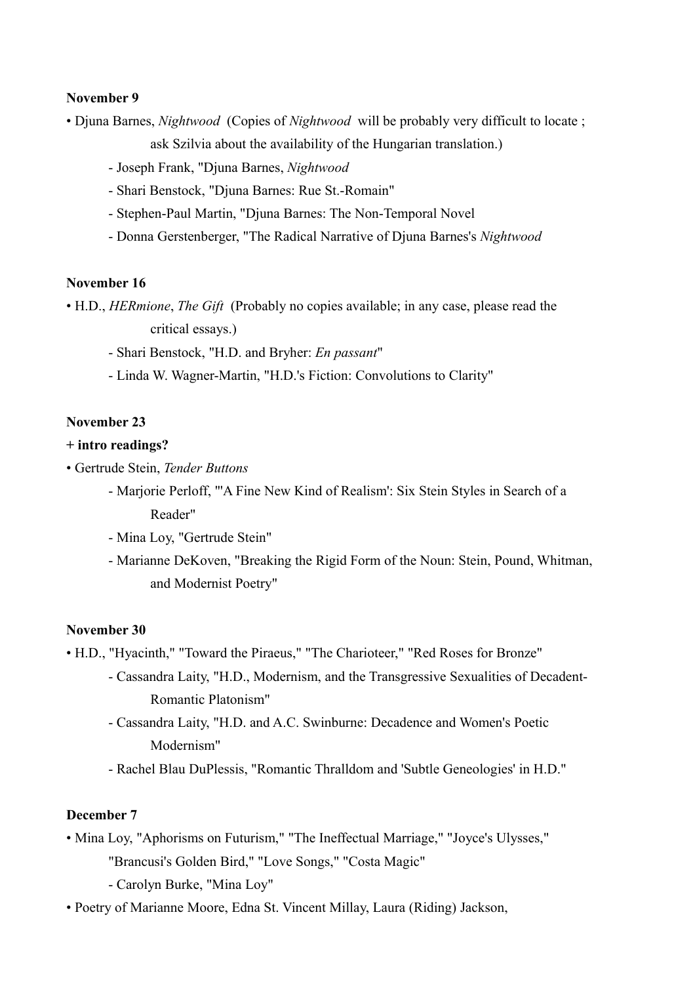### **November 9**

• Djuna Barnes, *Nightwood* (Copies of *Nightwood* will be probably very difficult to locate ;

ask Szilvia about the availability of the Hungarian translation.)

- Joseph Frank, "Djuna Barnes, *Nightwood*
- Shari Benstock, "Djuna Barnes: Rue St.-Romain"
- Stephen-Paul Martin, "Djuna Barnes: The Non-Temporal Novel
- Donna Gerstenberger, "The Radical Narrative of Djuna Barnes's *Nightwood*

#### **November 16**

• H.D., *HERmione*, *The Gift* (Probably no copies available; in any case, please read the critical essays.)

- Shari Benstock, "H.D. and Bryher: *En passant*"
- Linda W. Wagner-Martin, "H.D.'s Fiction: Convolutions to Clarity"

### **November 23**

#### **+ intro readings?**

• Gertrude Stein, *Tender Buttons*

- Marjorie Perloff, "'A Fine New Kind of Realism': Six Stein Styles in Search of a Reader"
- Mina Loy, "Gertrude Stein"
- Marianne DeKoven, "Breaking the Rigid Form of the Noun: Stein, Pound, Whitman, and Modernist Poetry"

#### **November 30**

• H.D., "Hyacinth," "Toward the Piraeus," "The Charioteer," "Red Roses for Bronze"

- Cassandra Laity, "H.D., Modernism, and the Transgressive Sexualities of Decadent- Romantic Platonism"
- Cassandra Laity, "H.D. and A.C. Swinburne: Decadence and Women's Poetic Modernism"
- Rachel Blau DuPlessis, "Romantic Thralldom and 'Subtle Geneologies' in H.D."

### **December 7**

- Mina Loy, "Aphorisms on Futurism," "The Ineffectual Marriage," "Joyce's Ulysses," "Brancusi's Golden Bird," "Love Songs," "Costa Magic"
	- Carolyn Burke, "Mina Loy"
- Poetry of Marianne Moore, Edna St. Vincent Millay, Laura (Riding) Jackson,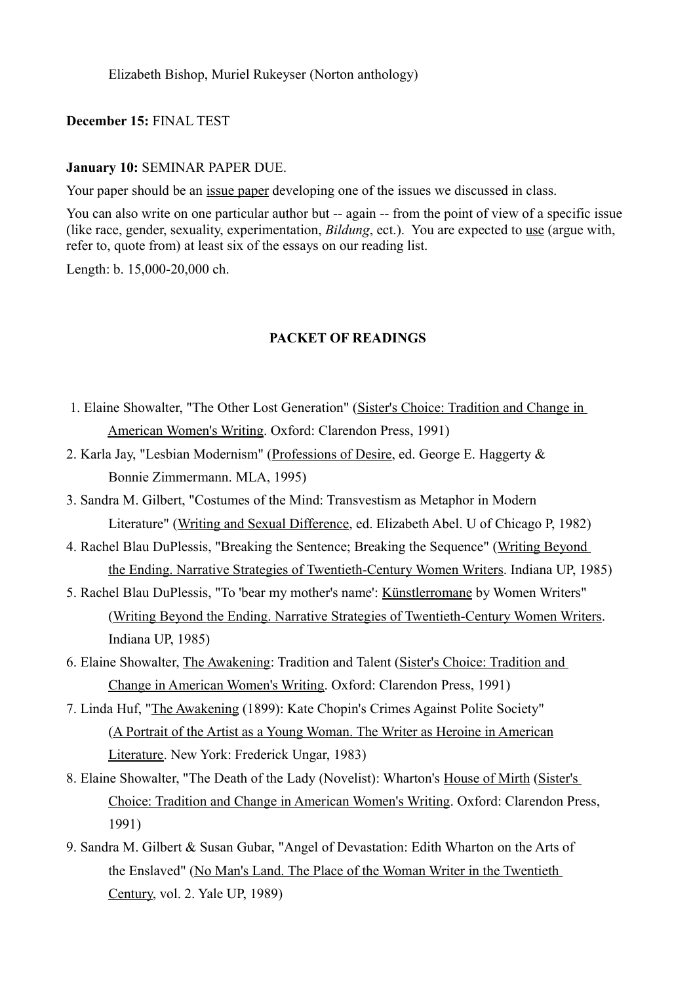Elizabeth Bishop, Muriel Rukeyser (Norton anthology)

### **December 15:** FINAL TEST

#### **January 10:** SEMINAR PAPER DUE.

Your paper should be an issue paper developing one of the issues we discussed in class.

You can also write on one particular author but -- again -- from the point of view of a specific issue (like race, gender, sexuality, experimentation, *Bildung*, ect.). You are expected to use (argue with, refer to, quote from) at least six of the essays on our reading list.

Length: b. 15,000-20,000 ch.

#### **PACKET OF READINGS**

- 1. Elaine Showalter, "The Other Lost Generation" (Sister's Choice: Tradition and Change in American Women's Writing. Oxford: Clarendon Press, 1991)
- 2. Karla Jay, "Lesbian Modernism" (Professions of Desire, ed. George E. Haggerty & Bonnie Zimmermann. MLA, 1995)
- 3. Sandra M. Gilbert, "Costumes of the Mind: Transvestism as Metaphor in Modern Literature" (Writing and Sexual Difference, ed. Elizabeth Abel. U of Chicago P, 1982)
- 4. Rachel Blau DuPlessis, "Breaking the Sentence; Breaking the Sequence" (Writing Beyond the Ending. Narrative Strategies of Twentieth-Century Women Writers. Indiana UP, 1985)
- 5. Rachel Blau DuPlessis, "To 'bear my mother's name': Künstlerromane by Women Writers" (Writing Beyond the Ending. Narrative Strategies of Twentieth-Century Women Writers. Indiana UP, 1985)
- 6. Elaine Showalter, The Awakening: Tradition and Talent (Sister's Choice: Tradition and Change in American Women's Writing. Oxford: Clarendon Press, 1991)
- 7. Linda Huf, "The Awakening (1899): Kate Chopin's Crimes Against Polite Society" (A Portrait of the Artist as a Young Woman. The Writer as Heroine in American Literature. New York: Frederick Ungar, 1983)
- 8. Elaine Showalter, "The Death of the Lady (Novelist): Wharton's House of Mirth (Sister's Choice: Tradition and Change in American Women's Writing. Oxford: Clarendon Press, 1991)
- 9. Sandra M. Gilbert & Susan Gubar, "Angel of Devastation: Edith Wharton on the Arts of the Enslaved" (No Man's Land. The Place of the Woman Writer in the Twentieth Century, vol. 2. Yale UP, 1989)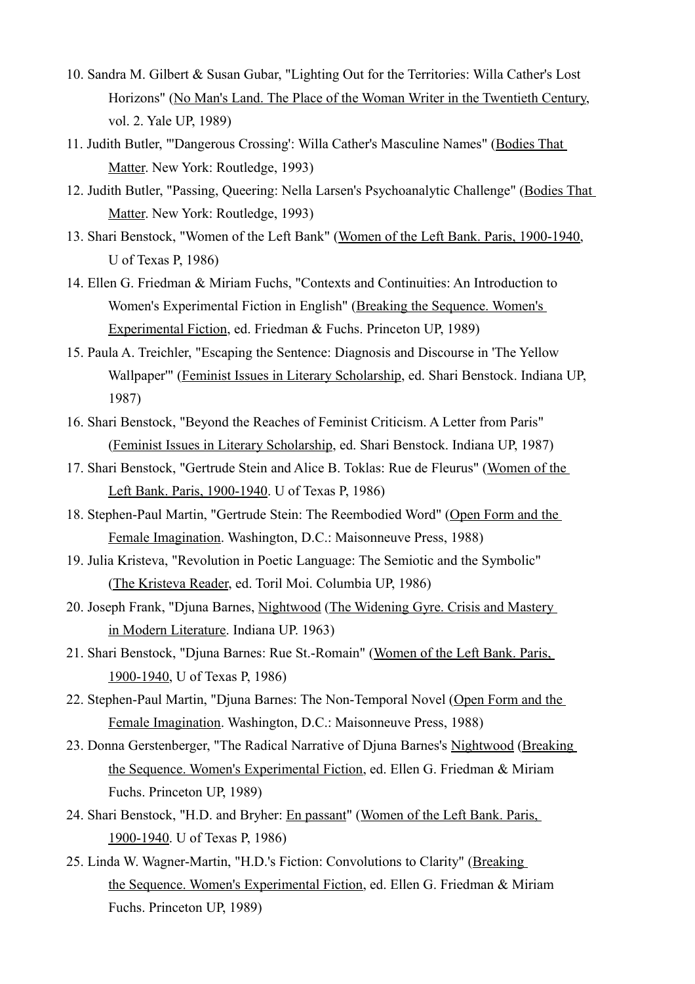- 10. Sandra M. Gilbert & Susan Gubar, "Lighting Out for the Territories: Willa Cather's Lost Horizons" (No Man's Land. The Place of the Woman Writer in the Twentieth Century, vol. 2. Yale UP, 1989)
- 11. Judith Butler, "'Dangerous Crossing': Willa Cather's Masculine Names" (Bodies That Matter. New York: Routledge, 1993)
- 12. Judith Butler, "Passing, Queering: Nella Larsen's Psychoanalytic Challenge" (Bodies That Matter. New York: Routledge, 1993)
- 13. Shari Benstock, "Women of the Left Bank" (Women of the Left Bank. Paris, 1900-1940, U of Texas P, 1986)
- 14. Ellen G. Friedman & Miriam Fuchs, "Contexts and Continuities: An Introduction to Women's Experimental Fiction in English" (Breaking the Sequence. Women's Experimental Fiction, ed. Friedman & Fuchs. Princeton UP, 1989)
- 15. Paula A. Treichler, "Escaping the Sentence: Diagnosis and Discourse in 'The Yellow Wallpaper'" (Feminist Issues in Literary Scholarship, ed. Shari Benstock. Indiana UP, 1987)
- 16. Shari Benstock, "Beyond the Reaches of Feminist Criticism. A Letter from Paris" (Feminist Issues in Literary Scholarship, ed. Shari Benstock. Indiana UP, 1987)
- 17. Shari Benstock, "Gertrude Stein and Alice B. Toklas: Rue de Fleurus" (Women of the Left Bank. Paris, 1900-1940. U of Texas P, 1986)
- 18. Stephen-Paul Martin, "Gertrude Stein: The Reembodied Word" (Open Form and the Female Imagination. Washington, D.C.: Maisonneuve Press, 1988)
- 19. Julia Kristeva, "Revolution in Poetic Language: The Semiotic and the Symbolic" (The Kristeva Reader, ed. Toril Moi. Columbia UP, 1986)
- 20. Joseph Frank, "Djuna Barnes, Nightwood (The Widening Gyre. Crisis and Mastery in Modern Literature. Indiana UP. 1963)
- 21. Shari Benstock, "Djuna Barnes: Rue St.-Romain" (Women of the Left Bank. Paris, 1900-1940, U of Texas P, 1986)
- 22. Stephen-Paul Martin, "Djuna Barnes: The Non-Temporal Novel (Open Form and the Female Imagination. Washington, D.C.: Maisonneuve Press, 1988)
- 23. Donna Gerstenberger, "The Radical Narrative of Djuna Barnes's Nightwood (Breaking the Sequence. Women's Experimental Fiction, ed. Ellen G. Friedman & Miriam Fuchs. Princeton UP, 1989)
- 24. Shari Benstock, "H.D. and Bryher: En passant" (Women of the Left Bank. Paris, 1900-1940. U of Texas P, 1986)
- 25. Linda W. Wagner-Martin, "H.D.'s Fiction: Convolutions to Clarity" (Breaking the Sequence. Women's Experimental Fiction, ed. Ellen G. Friedman & Miriam Fuchs. Princeton UP, 1989)